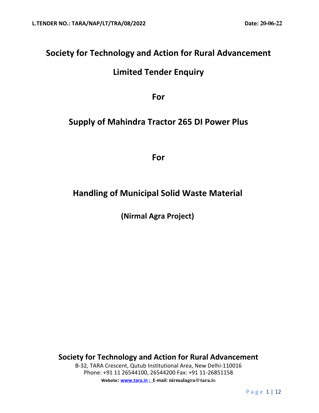# **Society for Technology and Action for Rural Advancement**

# **Limited Tender Enquiry**

**For** 

## **Supply of Mahindra Tractor 265 DI Power Plus**

**For** 

# **Handling of Municipal Solid Waste Material**

**(Nirmal Agra Project)** 

**Society for Technology and Action for Rural Advancement**  B-32, TARA Crescent, Qutub Institutional Area, New Delhi-110016 Phone: +91 11 26544100, 26544200 Fax: +91 11-26851158 **Website: www.tara.in ; E-mail: nirmalagra@tara.i**n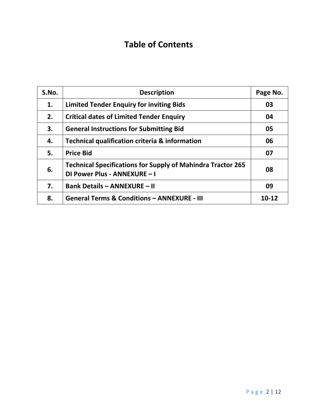# **Table of Contents**

| S.No. | <b>Description</b>                                                                                 | Page No. |
|-------|----------------------------------------------------------------------------------------------------|----------|
| 1.    | <b>Limited Tender Enquiry for inviting Bids</b>                                                    | 03       |
| 2.    | <b>Critical dates of Limited Tender Enquiry</b>                                                    | 04       |
| 3.    | <b>General Instructions for Submitting Bid</b>                                                     | 05       |
| 4.    | Technical qualification criteria & information                                                     | 06       |
| 5.    | <b>Price Bid</b>                                                                                   | 07       |
| 6.    | <b>Technical Specifications for Supply of Mahindra Tractor 265</b><br>DI Power Plus - ANNEXURE - I | 08       |
| 7.    | <b>Bank Details - ANNEXURE - II</b>                                                                | 09       |
| 8.    | <b>General Terms &amp; Conditions - ANNEXURE - III</b>                                             | 10-12    |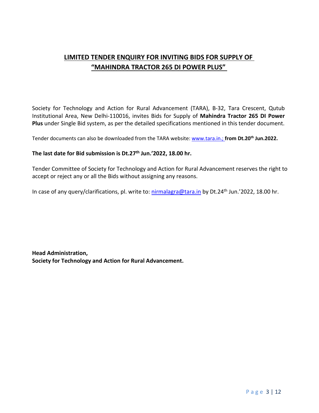## **LIMITED TENDER ENQUIRY FOR INVITING BIDS FOR SUPPLY OF "MAHINDRA TRACTOR 265 DI POWER PLUS"**

Society for Technology and Action for Rural Advancement (TARA), B-32, Tara Crescent, Qutub Institutional Area, New Delhi-110016, invites Bids for Supply of **Mahindra Tractor 265 DI Power Plus** under Single Bid system, as per the detailed specifications mentioned in this tender document.

Tender documents can also be downloaded from the TARA website: www.tara.in.; **from Dt.20th Jun.2022.** 

### **The last date for Bid submission is Dt.27th Jun.'2022, 18.00 hr.**

Tender Committee of Society for Technology and Action for Rural Advancement reserves the right to accept or reject any or all the Bids without assigning any reasons.

In case of any query/clarifications, pl. write to: nirmalagra@tara.in by Dt.24<sup>th</sup> Jun.'2022, 18.00 hr.

**Head Administration, Society for Technology and Action for Rural Advancement.**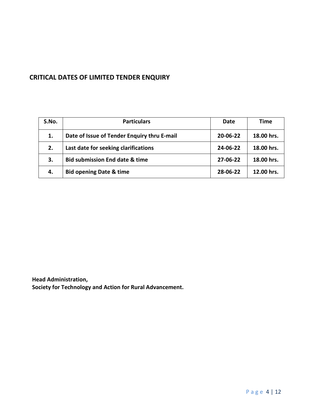## **CRITICAL DATES OF LIMITED TENDER ENQUIRY**

| S.No. | <b>Particulars</b>                          | Date           | Time       |
|-------|---------------------------------------------|----------------|------------|
| 1.    | Date of Issue of Tender Enquiry thru E-mail | $20 - 06 - 22$ | 18.00 hrs. |
| 2.    | Last date for seeking clarifications        | 24-06-22       | 18.00 hrs. |
| 3.    | <b>Bid submission End date &amp; time</b>   | 27-06-22       | 18.00 hrs. |
| 4.    | <b>Bid opening Date &amp; time</b>          | 28-06-22       | 12.00 hrs. |

**Head Administration, Society for Technology and Action for Rural Advancement.**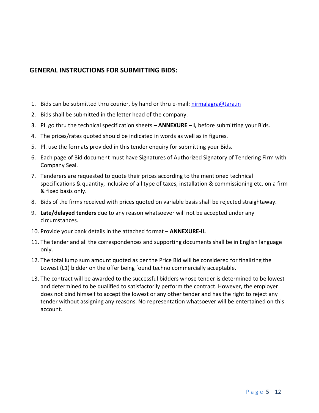## **GENERAL INSTRUCTIONS FOR SUBMITTING BIDS:**

- 1. Bids can be submitted thru courier, by hand or thru e-mail: nirmalagra@tara.in
- 2. Bids shall be submitted in the letter head of the company.
- 3. Pl. go thru the technical specification sheets  **ANNEXURE I,** before submitting your Bids.
- 4. The prices/rates quoted should be indicated in words as well as in figures.
- 5. Pl. use the formats provided in this tender enquiry for submitting your Bids.
- 6. Each page of Bid document must have Signatures of Authorized Signatory of Tendering Firm with Company Seal.
- 7. Tenderers are requested to quote their prices according to the mentioned technical specifications & quantity, inclusive of all type of taxes, installation & commissioning etc. on a firm & fixed basis only.
- 8. Bids of the firms received with prices quoted on variable basis shall be rejected straightaway.
- 9. **Late/delayed tenders** due to any reason whatsoever will not be accepted under any circumstances.
- 10. Provide your bank details in the attached format **ANNEXURE-II.**
- 11. The tender and all the correspondences and supporting documents shall be in English language only.
- 12. The total lump sum amount quoted as per the Price Bid will be considered for finalizing the Lowest (L1) bidder on the offer being found techno commercially acceptable.
- 13. The contract will be awarded to the successful bidders whose tender is determined to be lowest and determined to be qualified to satisfactorily perform the contract. However, the employer does not bind himself to accept the lowest or any other tender and has the right to reject any tender without assigning any reasons. No representation whatsoever will be entertained on this account.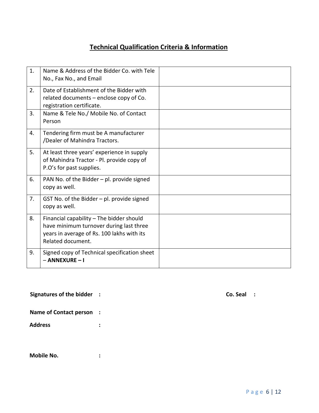## **Technical Qualification Criteria & Information**

| 1. | Name & Address of the Bidder Co. with Tele                                                                                                             |  |
|----|--------------------------------------------------------------------------------------------------------------------------------------------------------|--|
|    | No., Fax No., and Email                                                                                                                                |  |
| 2. | Date of Establishment of the Bidder with<br>related documents - enclose copy of Co.<br>registration certificate.                                       |  |
| 3. | Name & Tele No./ Mobile No. of Contact<br>Person                                                                                                       |  |
| 4. | Tendering firm must be A manufacturer<br>/Dealer of Mahindra Tractors.                                                                                 |  |
| 5. | At least three years' experience in supply<br>of Mahindra Tractor - Pl. provide copy of<br>P.O's for past supplies.                                    |  |
| 6. | PAN No. of the Bidder - pl. provide signed<br>copy as well.                                                                                            |  |
| 7. | GST No. of the Bidder $-$ pl. provide signed<br>copy as well.                                                                                          |  |
| 8. | Financial capability - The bidder should<br>have minimum turnover during last three<br>years in average of Rs. 100 lakhs with its<br>Related document. |  |
| 9. | Signed copy of Technical specification sheet<br>- ANNEXURE - I                                                                                         |  |

| Signatures of the bidder |  | Co. Seal |  |
|--------------------------|--|----------|--|
|--------------------------|--|----------|--|

| Co. Seal |  |  |  |  |
|----------|--|--|--|--|
|----------|--|--|--|--|

|  |  | <b>Name of Contact person</b> |  |  |
|--|--|-------------------------------|--|--|
|--|--|-------------------------------|--|--|

**Address :** 

| Mobile No. |  |
|------------|--|
|            |  |
|            |  |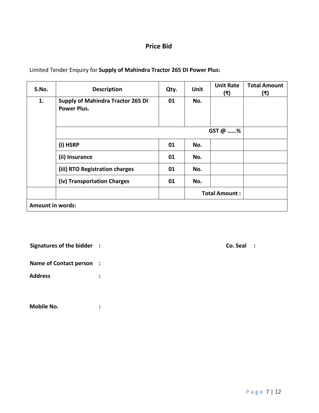## **Price Bid**

| S.No.            | <b>Description</b>                                             | Qty.    | <b>Unit</b> | <b>Unit Rate</b><br>(₹) | <b>Total Amount</b><br>(₹) |
|------------------|----------------------------------------------------------------|---------|-------------|-------------------------|----------------------------|
| 1.               | <b>Supply of Mahindra Tractor 265 DI</b><br><b>Power Plus.</b> | 01      | No.         |                         |                            |
|                  |                                                                | GST @ % |             |                         |                            |
|                  | (i) HSRP                                                       | 01      | No.         |                         |                            |
|                  | (ii) Insurance                                                 | 01      | No.         |                         |                            |
|                  | (iii) RTO Registration charges                                 | 01      | No.         |                         |                            |
|                  | (iv) Transportation Charges                                    | 01      | No.         |                         |                            |
|                  |                                                                |         |             | <b>Total Amount:</b>    |                            |
| Amount in words: |                                                                |         |             |                         |                            |

Limited Tender Enquiry for **Supply of Mahindra Tractor 265 DI Power Plus:** 

**Signatures of the bidder :** Co. Seal :

**Name of Contact person :** 

**Address :** 

**Mobile No. :**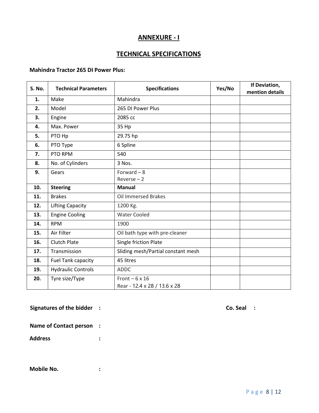### **ANNEXURE - I**

## **TECHNICAL SPECIFICATIONS**

### **Mahindra Tractor 265 DI Power Plus:**

| <b>S. No.</b> | <b>Technical Parameters</b> | <b>Specifications</b>                                | Yes/No | If Deviation,<br>mention details |
|---------------|-----------------------------|------------------------------------------------------|--------|----------------------------------|
| 1.            | Make                        | Mahindra                                             |        |                                  |
| 2.            | Model                       | 265 DI Power Plus                                    |        |                                  |
| 3.            | Engine                      | 2085 cc                                              |        |                                  |
| 4.            | Max. Power                  | 35 Hp                                                |        |                                  |
| 5.            | PTO Hp                      | 29.75 hp                                             |        |                                  |
| 6.            | PTO Type                    | 6 Spline                                             |        |                                  |
| 7.            | PTO RPM                     | 540                                                  |        |                                  |
| 8.            | No. of Cylinders            | 3 Nos.                                               |        |                                  |
| 9.            | Gears                       | Forward $-8$<br>$Reverse - 2$                        |        |                                  |
| 10.           | <b>Steering</b>             | <b>Manual</b>                                        |        |                                  |
| 11.           | <b>Brakes</b>               | <b>Oil Immersed Brakes</b>                           |        |                                  |
| 12.           | <b>Lifting Capacity</b>     | 1200 Kg.                                             |        |                                  |
| 13.           | <b>Engine Cooling</b>       | <b>Water Cooled</b>                                  |        |                                  |
| 14.           | <b>RPM</b>                  | 1900                                                 |        |                                  |
| 15.           | Air Filter                  | Oil bath type with pre-cleaner                       |        |                                  |
| 16.           | <b>Clutch Plate</b>         | Single friction Plate                                |        |                                  |
| 17.           | Transmission                | Sliding mesh/Partial constant mesh                   |        |                                  |
| 18.           | Fuel Tank capacity          | 45 litres                                            |        |                                  |
| 19.           | <b>Hydraulic Controls</b>   | <b>ADDC</b>                                          |        |                                  |
| 20.           | Tyre size/Type              | Front $-6 \times 16$<br>Rear - 12.4 x 28 / 13.6 x 28 |        |                                  |

**Signatures of the bidder :** Co. Seal : Co. Seal :

**Name of Contact person :** 

**Address :** 

**Mobile No. :**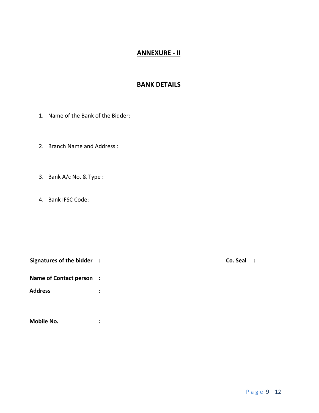## **ANNEXURE - II**

### **BANK DETAILS**

- 1. Name of the Bank of the Bidder:
- 2. Branch Name and Address :
- 3. Bank A/c No. & Type :
- 4. Bank IFSC Code:

| <b>Signatures of the bidder</b> | $Co.$ Seal $\therefore$ |  |
|---------------------------------|-------------------------|--|
|                                 |                         |  |

**Name of Contact person :** 

**Address :** 

**Mobile No. :**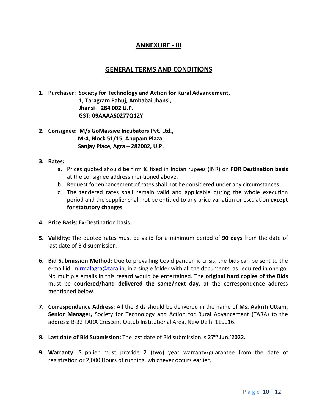## **ANNEXURE - III**

### **GENERAL TERMS AND CONDITIONS**

- **1. Purchaser: Society for Technology and Action for Rural Advancement, 1, Taragram Pahuj, Ambabai Jhansi, Jhansi – 284 002 U.P. GST: 09AAAAS0277Q1ZY**
- **2. Consignee: M/s GoMassive Incubators Pvt. Ltd., M-4, Block 51/15, Anupam Plaza, Sanjay Place, Agra – 282002, U.P.**
- **3. Rates:** 
	- a. Prices quoted should be firm & fixed in Indian rupees (INR) on **FOR Destination basis** at the consignee address mentioned above.
	- b. Request for enhancement of rates shall not be considered under any circumstances.
	- c. The tendered rates shall remain valid and applicable during the whole execution period and the supplier shall not be entitled to any price variation or escalation **except for statutory changes**.
- **4. Price Basis:** Ex-Destination basis.
- **5. Validity:** The quoted rates must be valid for a minimum period of **90 days** from the date of last date of Bid submission.
- **6. Bid Submission Method:** Due to prevailing Covid pandemic crisis, the bids can be sent to the e-mail id: nirmalagra@tara.in, in a single folder with all the documents, as required in one go. No multiple emails in this regard would be entertained. The **original hard copies of the Bids** must be **couriered/hand delivered the same/next day,** at the correspondence address mentioned below.
- **7. Correspondence Address:** All the Bids should be delivered in the name of **Ms. Aakriti Uttam, Senior Manager,** Society for Technology and Action for Rural Advancement (TARA) to the address: B-32 TARA Crescent Qutub Institutional Area, New Delhi 110016.
- **8. Last date of Bid Submission:** The last date of Bid submission is **27th Jun.'2022.**
- **9. Warranty:** Supplier must provide 2 (two) year warranty/guarantee from the date of registration or 2,000 Hours of running, whichever occurs earlier.